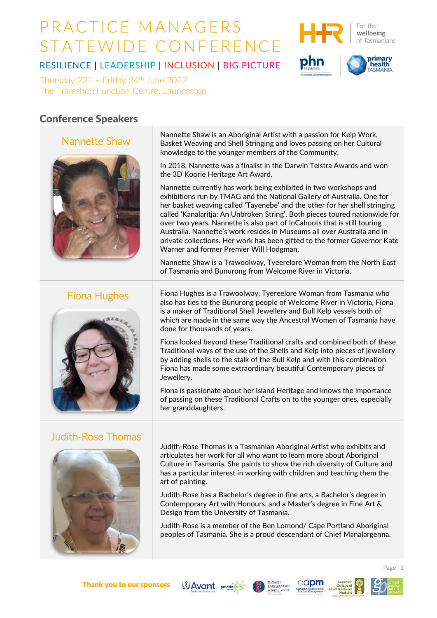



primary<br>health

RESILIENCE | LEADERSHIP | INCLUSION | BIG PICTURE

Thursday  $23<sup>rd</sup>$  – Friday  $24<sup>th</sup>$  June  $2022$ The Tramshed Function Centre, Launceston

## Conference Speakers

### Nannette Shaw



## Fiona Hughes



## Judith-Rose Thomas



Nannette Shaw is an Aboriginal Artist with a passion for Kelp Work, Basket Weaving and Shell Stringing and loves passing on her Cultural knowledge to the younger members of the Community.

In 2018, Nannette was a finalist in the Darwin Telstra Awards and won the 3D Koorie Heritage Art Award.

Nannette currently has work being exhibited in two workshops and exhibitions run by TMAG and the National Gallery of Australia. One for her basket weaving called 'Tayenebe' and the other for her shell stringing called 'Kanalaritja: An Unbroken String'. Both pieces toured nationwide for over two years. Nannette is also part of InCahoots that is still touring Australia. Nannette's work resides in Museums all over Australia and in private collections. Her work has been gifted to the former Governor Kate Warner and former Premier Will Hodgman.

Nannette Shaw is a Trawoolway, Tyeerelore Woman from the North East of Tasmania and Bunurong from Welcome River in Victoria.

Fiona Hughes is a Trawoolway, Tyereelore Woman from Tasmania who also has ties to the Bunurong people of Welcome River in Victoria, Fiona is a maker of Traditional Shell Jewellery and Bull Kelp vessels both of which are made in the same way the Ancestral Women of Tasmania have done for thousands of years.

Fiona looked beyond these Traditional crafts and combined both of these Traditional ways of the use of the Shells and Kelp into pieces of jewellery by adding shells to the stalk of the Bull Kelp and with this combination Fiona has made some extraordinary beautiful Contemporary pieces of Jewellery.

Fiona is passionate about her Island Heritage and knows the importance of passing on these Traditional Crafts on to the younger ones, especially her granddaughters.

Judith-Rose Thomas is a Tasmanian Aboriginal Artist who exhibits and articulates her work for all who want to learn more about Aboriginal Culture in Tasmania. She paints to show the rich diversity of Culture and has a particular interest in working with children and teaching them the art of painting.

Judith-Rose has a Bachelor's degree in fine arts, a Bachelor's degree in Contemporary Art with Honours, and a Master's degree in Fine Art & Design from the University of Tasmania.

Judith-Rose is a member of the Ben Lomond/ Cape Portland Aboriginal peoples of Tasmania. She is a proud descendant of Chief Manalargenna.







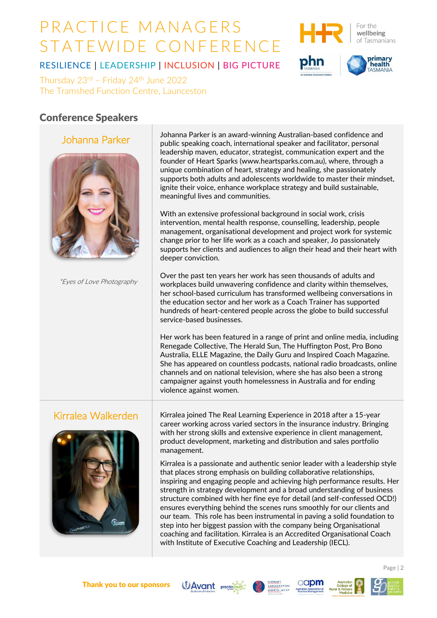

For the wellbeing of Tasmanians

primary<br>health

RESILIENCE | LEADERSHIP | INCLUSION | BIG PICTURE

Thursday  $23<sup>rd</sup>$  – Friday  $24<sup>th</sup>$  June  $2022$ The Tramshed Function Centre, Launceston

## Conference Speakers

#### Johanna Parker



\*Eyes of Love Photography

Johanna Parker is an award-winning Australian-based confidence and public speaking coach, international speaker and facilitator, personal leadership maven, educator, strategist, communication expert and the founder of Heart Sparks [\(www.heartsparks.com.au\),](http://www.heartsparks.com.au/) where, through a unique combination of heart, strategy and healing, she passionately supports both adults and adolescents worldwide to master their mindset, ignite their voice, enhance workplace strategy and build sustainable, meaningful lives and communities.

With an extensive professional background in social work, crisis intervention, mental health response, counselling, leadership, people management, organisational development and project work for systemic change prior to her life work as a coach and speaker, Jo passionately supports her clients and audiences to align their head and their heart with deeper conviction.

Over the past ten years her work has seen thousands of adults and workplaces build unwavering confidence and clarity within themselves, her school-based curriculum has transformed wellbeing conversations in the education sector and her work as a Coach Trainer has supported hundreds of heart-centered people across the globe to build successful service-based businesses.

Her work has been featured in a range of print and online media, including Renegade Collective, The Herald Sun, The Huffington Post, Pro Bono Australia, ELLE Magazine, the Daily Guru and Inspired Coach Magazine. She has appeared on countless podcasts, national radio broadcasts, online channels and on national television, where she has also been a strong campaigner against youth homelessness in Australia and for ending violence against women.



Kirralea Walkerden  $\parallel$  Kirralea joined The Real Learning Experience in 2018 after a 15-year career working across varied sectors in the insurance industry. Bringing with her strong skills and extensive experience in client management, product development, marketing and distribution and sales portfolio management.

> Kirralea is a passionate and authentic senior leader with a leadership style that places strong emphasis on building collaborative relationships, inspiring and engaging people and achieving high performance results. Her strength in strategy development and a broad understanding of business structure combined with her fine eye for detail (and self-confessed OCD!) ensures everything behind the scenes runs smoothly for our clients and our team. This role has been instrumental in paving a solid foundation to step into her biggest passion with the company being Organisational coaching and facilitation. Kirralea is an Accredited Organisational Coach with Institute of Executive Coaching and Leadership (IECL).











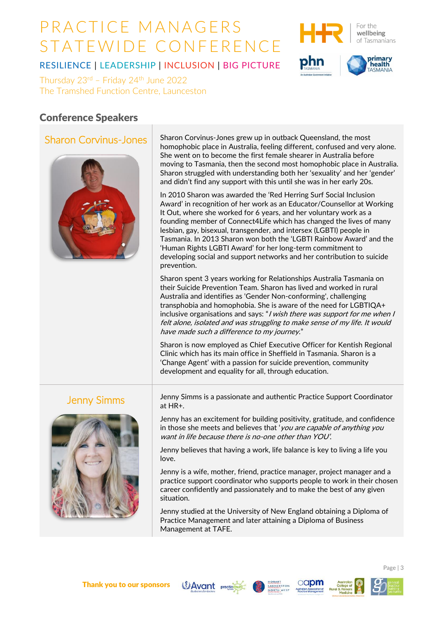



primary<br>health

RESILIENCE | LEADERSHIP | INCLUSION | BIG PICTURE

Thursday  $23<sup>rd</sup>$  – Friday  $24<sup>th</sup>$  June  $2022$ The Tramshed Function Centre, Launceston

### Conference Speakers

#### Sharon Corvinus-Jones



Sharon Corvinus-Jones grew up in outback Queensland, the most homophobic place in Australia, feeling different, confused and very alone. She went on to become the first female shearer in Australia before moving to Tasmania, then the second most homophobic place in Australia. Sharon struggled with understanding both her 'sexuality' and her 'gender' and didn't find any support with this until she was in her early 20s.

In 2010 Sharon was awarded the 'Red Herring Surf Social Inclusion Award' in recognition of her work as an Educator/Counsellor at Working It Out, where she worked for 6 years, and her voluntary work as a founding member of Connect4Life which has changed the lives of many lesbian, gay, bisexual, transgender, and intersex (LGBTI) people in Tasmania. In 2013 Sharon won both the 'LGBTI Rainbow Award' and the 'Human Rights LGBTI Award' for her long-term commitment to developing social and support networks and her contribution to suicide prevention.

Sharon spent 3 years working for Relationships Australia Tasmania on their Suicide Prevention Team. Sharon has lived and worked in rural Australia and identifies as 'Gender Non-conforming', challenging transphobia and homophobia. She is aware of the need for LGBTIQA+ inclusive organisations and says: "*I wish there was support for me when I* felt alone, isolated and was struggling to make sense of my life. It would have made such a difference to my journey."

Sharon is now employed as Chief Executive Officer for Kentish Regional Clinic which has its main office in Sheffield in Tasmania. Sharon is a 'Change Agent' with a passion for suicide prevention, community development and equality for all, through education.



Jenny Simms Jenny Simms is a passionate and authentic Practice Support Coordinator at HR+.

> Jenny has an excitement for building positivity, gratitude, and confidence in those she meets and believes that 'you are capable of anything you want in life because there is no-one other than YOU'.

Jenny believes that having a work, life balance is key to living a life you love.

Jenny is a wife, mother, friend, practice manager, project manager and a practice support coordinator who supports people to work in their chosen career confidently and passionately and to make the best of any given situation.

Jenny studied at the University of New England obtaining a Diploma of Practice Management and later attaining a Diploma of Business Management at TAFE.







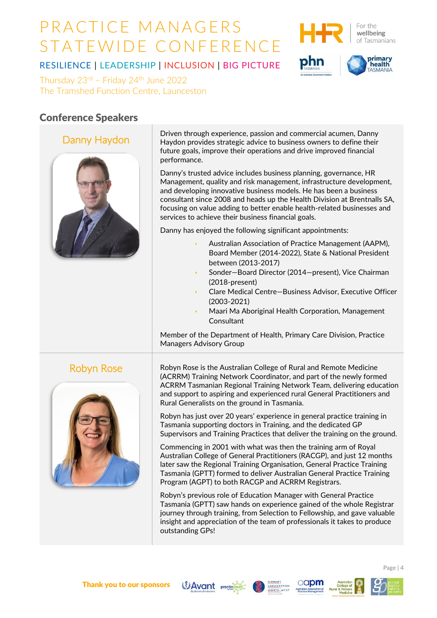



primary<br>health

RESILIENCE | LEADERSHIP | INCLUSION | BIG PICTURE

Thursday  $23<sup>rd</sup>$  – Friday  $24<sup>th</sup>$  June  $2022$ The Tramshed Function Centre, Launceston

## Conference Speakers

### Danny Haydon



Driven through experience, passion and commercial acumen, Danny Haydon provides strategic advice to business owners to define their future goals, improve their operations and drive improved financial performance.

Danny's trusted advice includes business planning, governance, HR Management, quality and risk management, infrastructure development, and developing innovative business models. He has been a business consultant since 2008 and heads up the Health Division at Brentnalls SA, focusing on value adding to better enable health-related businesses and services to achieve their business financial goals.

Danny has enjoyed the following significant appointments:

- Australian Association of Practice Management (AAPM), Board Member (2014-2022), State & National President between (2013-2017)
- Sonder—Board Director (2014—present), Vice Chairman (2018-present)
- Clare Medical Centre—Business Advisor, Executive Officer (2003-2021)
- Maari Ma Aboriginal Health Corporation, Management **Consultant**

Member of the Department of Health, Primary Care Division, Practice Managers Advisory Group



Robyn Rose **Robyn Rose is the Australian College of Rural and Remote Medicine** (ACRRM) Training Network Coordinator, and part of the newly formed ACRRM Tasmanian Regional Training Network Team, delivering education and support to aspiring and experienced rural General Practitioners and Rural Generalists on the ground in Tasmania.

> Robyn has just over 20 years' experience in general practice training in Tasmania supporting doctors in Training, and the dedicated GP Supervisors and Training Practices that deliver the training on the ground.

Commencing in 2001 with what was then the training arm of Royal Australian College of General Practitioners (RACGP), and just 12 months later saw the Regional Training Organisation, General Practice Training Tasmania (GPTT) formed to deliver Australian General Practice Training Program (AGPT) to both RACGP and ACRRM Registrars.

Robyn's previous role of Education Manager with General Practice Tasmania (GPTT) saw hands on experience gained of the whole Registrar journey through training, from Selection to Fellowship, and gave valuable insight and appreciation of the team of professionals it takes to produce outstanding GPs!









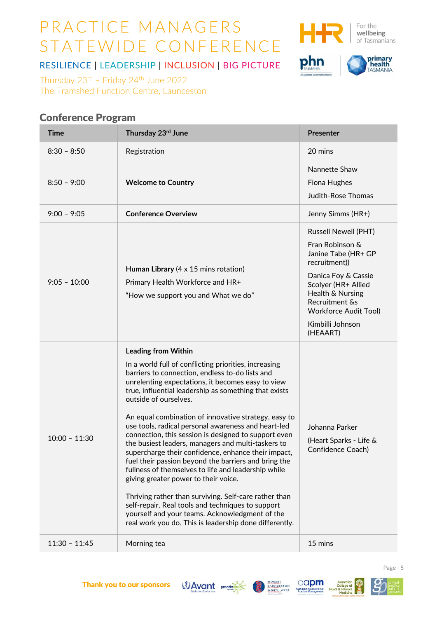

For the wellbeing of Tasmanians

phn



RESILIENCE | LEADERSHIP | INCLUSION | BIG PICTURE

Thursday  $23^{rd}$  – Friday  $24^{th}$  June 2022 The Tramshed Function Centre, Launceston

## Conference Program

| <b>Time</b>     | Thursday 23rd June                                                                                                                                                                                                                                                                                                                                                                                                                                                                                                                                                                                                                                                                                                                                                                                                                                                                                                                                 | <b>Presenter</b>                                                                                                                                                                                                                           |
|-----------------|----------------------------------------------------------------------------------------------------------------------------------------------------------------------------------------------------------------------------------------------------------------------------------------------------------------------------------------------------------------------------------------------------------------------------------------------------------------------------------------------------------------------------------------------------------------------------------------------------------------------------------------------------------------------------------------------------------------------------------------------------------------------------------------------------------------------------------------------------------------------------------------------------------------------------------------------------|--------------------------------------------------------------------------------------------------------------------------------------------------------------------------------------------------------------------------------------------|
| $8:30 - 8:50$   | Registration                                                                                                                                                                                                                                                                                                                                                                                                                                                                                                                                                                                                                                                                                                                                                                                                                                                                                                                                       | 20 mins                                                                                                                                                                                                                                    |
| $8:50 - 9:00$   | <b>Welcome to Country</b>                                                                                                                                                                                                                                                                                                                                                                                                                                                                                                                                                                                                                                                                                                                                                                                                                                                                                                                          | Nannette Shaw<br>Fiona Hughes<br><b>Judith-Rose Thomas</b>                                                                                                                                                                                 |
| $9:00 - 9:05$   | <b>Conference Overview</b>                                                                                                                                                                                                                                                                                                                                                                                                                                                                                                                                                                                                                                                                                                                                                                                                                                                                                                                         | Jenny Simms (HR+)                                                                                                                                                                                                                          |
| $9:05 - 10:00$  | Human Library $(4 \times 15 \text{ mins rotation})$<br>Primary Health Workforce and HR+<br>"How we support you and What we do"                                                                                                                                                                                                                                                                                                                                                                                                                                                                                                                                                                                                                                                                                                                                                                                                                     | <b>Russell Newell (PHT)</b><br>Fran Robinson &<br>Janine Tabe (HR+ GP<br>recruitment))<br>Danica Foy & Cassie<br>Scolyer (HR+ Allied<br>Health & Nursing<br>Recruitment &s<br><b>Workforce Audit Tool)</b><br>Kimbilli Johnson<br>(HEAART) |
| $10:00 - 11:30$ | <b>Leading from Within</b><br>In a world full of conflicting priorities, increasing<br>barriers to connection, endless to-do lists and<br>unrelenting expectations, it becomes easy to view<br>true, influential leadership as something that exists<br>outside of ourselves.<br>An equal combination of innovative strategy, easy to<br>use tools, radical personal awareness and heart-led<br>connection, this session is designed to support even<br>the busiest leaders, managers and multi-taskers to<br>supercharge their confidence, enhance their impact,<br>fuel their passion beyond the barriers and bring the<br>fullness of themselves to life and leadership while<br>giving greater power to their voice.<br>Thriving rather than surviving. Self-care rather than<br>self-repair. Real tools and techniques to support<br>yourself and your teams. Acknowledgment of the<br>real work you do. This is leadership done differently. | Johanna Parker<br>(Heart Sparks - Life &<br>Confidence Coach)                                                                                                                                                                              |
| $11:30 - 11:45$ | Morning tea                                                                                                                                                                                                                                                                                                                                                                                                                                                                                                                                                                                                                                                                                                                                                                                                                                                                                                                                        | 15 mins                                                                                                                                                                                                                                    |







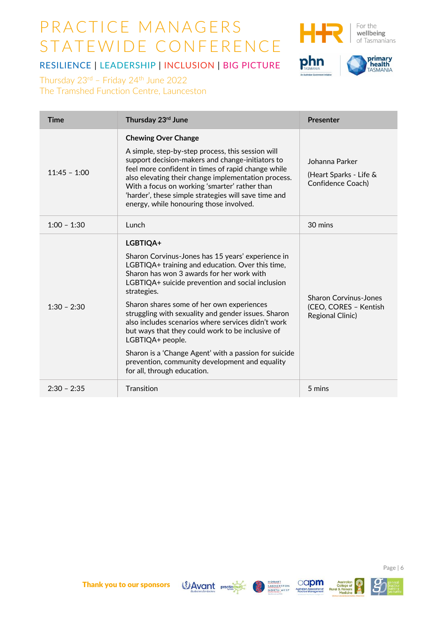

For the wellbeing of Tasmanians

phn



RESILIENCE | LEADERSHIP | INCLUSION | BIG PICTURE

Thursday  $23^{rd}$  – Friday  $24^{th}$  June 2022 The Tramshed Function Centre, Launceston

| <b>Time</b>    | Thursday 23rd June                                                                                                                                                                                                                                                                                                                                                                                                                                                                                                                                                                                            | <b>Presenter</b>                                                                 |
|----------------|---------------------------------------------------------------------------------------------------------------------------------------------------------------------------------------------------------------------------------------------------------------------------------------------------------------------------------------------------------------------------------------------------------------------------------------------------------------------------------------------------------------------------------------------------------------------------------------------------------------|----------------------------------------------------------------------------------|
| $11:45 - 1:00$ | <b>Chewing Over Change</b><br>A simple, step-by-step process, this session will<br>support decision-makers and change-initiators to<br>feel more confident in times of rapid change while<br>also elevating their change implementation process.<br>With a focus on working 'smarter' rather than<br>'harder', these simple strategies will save time and<br>energy, while honouring those involved.                                                                                                                                                                                                          | Johanna Parker<br>(Heart Sparks - Life &<br>Confidence Coach)                    |
| $1:00 - 1:30$  | Lunch                                                                                                                                                                                                                                                                                                                                                                                                                                                                                                                                                                                                         | 30 mins                                                                          |
| $1:30 - 2:30$  | LGBTIQA+<br>Sharon Corvinus-Jones has 15 years' experience in<br>LGBTIQA+ training and education. Over this time,<br>Sharon has won 3 awards for her work with<br>LGBTIQA+ suicide prevention and social inclusion<br>strategies.<br>Sharon shares some of her own experiences<br>struggling with sexuality and gender issues. Sharon<br>also includes scenarios where services didn't work<br>but ways that they could work to be inclusive of<br>LGBTIQA+ people.<br>Sharon is a 'Change Agent' with a passion for suicide<br>prevention, community development and equality<br>for all, through education. | <b>Sharon Corvinus-Jones</b><br>(CEO, CORES - Kentish<br><b>Regional Clinic)</b> |
| $2:30 - 2:35$  | Transition                                                                                                                                                                                                                                                                                                                                                                                                                                                                                                                                                                                                    | 5 mins                                                                           |









Rura

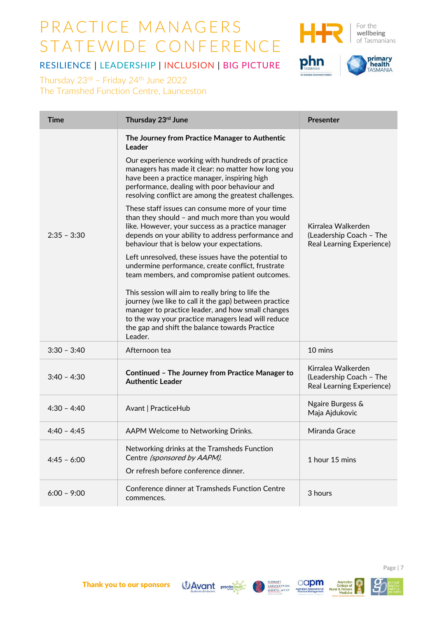RESILIENCE | LEADERSHIP | INCLUSION | BIG PICTURE





wellbeing of Tasmanians

**primary<br>TASMANIA** 

Thursday  $23^{rd}$  – Friday  $24^{th}$  June 2022 The Tramshed Function Centre, Launceston

| <b>Time</b>   | Thursday 23rd June                                                                                                                                                                                                                                                                 | <b>Presenter</b>                                                                  |
|---------------|------------------------------------------------------------------------------------------------------------------------------------------------------------------------------------------------------------------------------------------------------------------------------------|-----------------------------------------------------------------------------------|
|               | The Journey from Practice Manager to Authentic<br>Leader                                                                                                                                                                                                                           |                                                                                   |
|               | Our experience working with hundreds of practice<br>managers has made it clear: no matter how long you<br>have been a practice manager, inspiring high<br>performance, dealing with poor behaviour and<br>resolving conflict are among the greatest challenges.                    |                                                                                   |
| $2:35 - 3:30$ | These staff issues can consume more of your time<br>than they should - and much more than you would<br>like. However, your success as a practice manager<br>depends on your ability to address performance and<br>behaviour that is below your expectations.                       | Kirralea Walkerden<br>(Leadership Coach - The<br><b>Real Learning Experience)</b> |
|               | Left unresolved, these issues have the potential to<br>undermine performance, create conflict, frustrate<br>team members, and compromise patient outcomes.                                                                                                                         |                                                                                   |
|               | This session will aim to really bring to life the<br>journey (we like to call it the gap) between practice<br>manager to practice leader, and how small changes<br>to the way your practice managers lead will reduce<br>the gap and shift the balance towards Practice<br>Leader. |                                                                                   |
| $3:30 - 3:40$ | Afternoon tea                                                                                                                                                                                                                                                                      | 10 mins                                                                           |
| $3:40 - 4:30$ | Continued - The Journey from Practice Manager to<br><b>Authentic Leader</b>                                                                                                                                                                                                        | Kirralea Walkerden<br>(Leadership Coach - The<br><b>Real Learning Experience)</b> |
| $4:30 - 4:40$ | Avant   PracticeHub                                                                                                                                                                                                                                                                | Ngaire Burgess &<br>Maja Ajdukovic                                                |
| $4:40 - 4:45$ | AAPM Welcome to Networking Drinks.                                                                                                                                                                                                                                                 | Miranda Grace                                                                     |
| $4:45 - 6:00$ | Networking drinks at the Tramsheds Function<br>Centre (sponsored by AAPM).<br>Or refresh before conference dinner.                                                                                                                                                                 | 1 hour 15 mins                                                                    |
| $6:00 - 9:00$ | Conference dinner at Tramsheds Function Centre<br>commences.                                                                                                                                                                                                                       | 3 hours                                                                           |







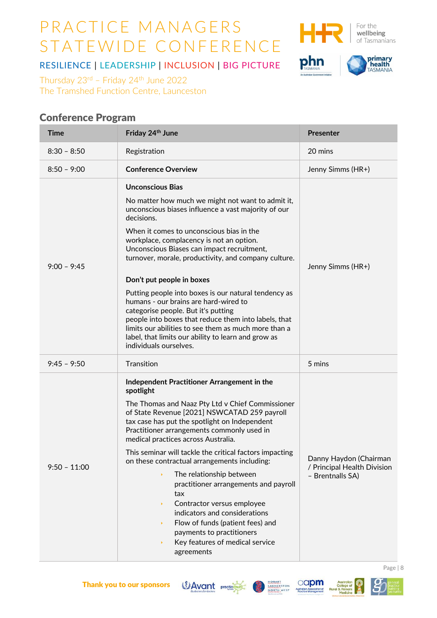

For the wellbeing of Tasmanians

# phn



RESILIENCE | LEADERSHIP | INCLUSION | BIG PICTURE

Thursday  $23^{rd}$  – Friday  $24^{th}$  June 2022 The Tramshed Function Centre, Launceston

## Conference Program

| <b>Time</b>    | Friday 24th June                                                                                                                                                                                                                                                                                                                                                                                                                                                                                                                                                                                                                                                                                                      | <b>Presenter</b>                                                          |
|----------------|-----------------------------------------------------------------------------------------------------------------------------------------------------------------------------------------------------------------------------------------------------------------------------------------------------------------------------------------------------------------------------------------------------------------------------------------------------------------------------------------------------------------------------------------------------------------------------------------------------------------------------------------------------------------------------------------------------------------------|---------------------------------------------------------------------------|
| $8:30 - 8:50$  | Registration                                                                                                                                                                                                                                                                                                                                                                                                                                                                                                                                                                                                                                                                                                          | 20 mins                                                                   |
| $8:50 - 9:00$  | <b>Conference Overview</b>                                                                                                                                                                                                                                                                                                                                                                                                                                                                                                                                                                                                                                                                                            | Jenny Simms (HR+)                                                         |
| $9:00 - 9:45$  | <b>Unconscious Bias</b><br>No matter how much we might not want to admit it,<br>unconscious biases influence a vast majority of our<br>decisions.<br>When it comes to unconscious bias in the<br>workplace, complacency is not an option.<br>Unconscious Biases can impact recruitment,<br>turnover, morale, productivity, and company culture.<br>Don't put people in boxes<br>Putting people into boxes is our natural tendency as<br>humans - our brains are hard-wired to<br>categorise people. But it's putting<br>people into boxes that reduce them into labels, that<br>limits our abilities to see them as much more than a<br>label, that limits our ability to learn and grow as<br>individuals ourselves. | Jenny Simms (HR+)                                                         |
| $9:45 - 9:50$  | Transition                                                                                                                                                                                                                                                                                                                                                                                                                                                                                                                                                                                                                                                                                                            | 5 mins                                                                    |
| $9:50 - 11:00$ | Independent Practitioner Arrangement in the<br>spotlight<br>The Thomas and Naaz Pty Ltd v Chief Commissioner<br>of State Revenue [2021] NSWCATAD 259 payroll<br>tax case has put the spotlight on Independent<br>Practitioner arrangements commonly used in<br>medical practices across Australia.<br>This seminar will tackle the critical factors impacting<br>on these contractual arrangements including:<br>The relationship between<br>¥<br>practitioner arrangements and payroll<br>tax<br>Contractor versus employee<br>¥<br>indicators and considerations<br>Flow of funds (patient fees) and<br>¥<br>payments to practitioners<br>Key features of medical service<br>¥<br>agreements                        | Danny Haydon (Chairman<br>/ Principal Health Division<br>- Brentnalls SA) |